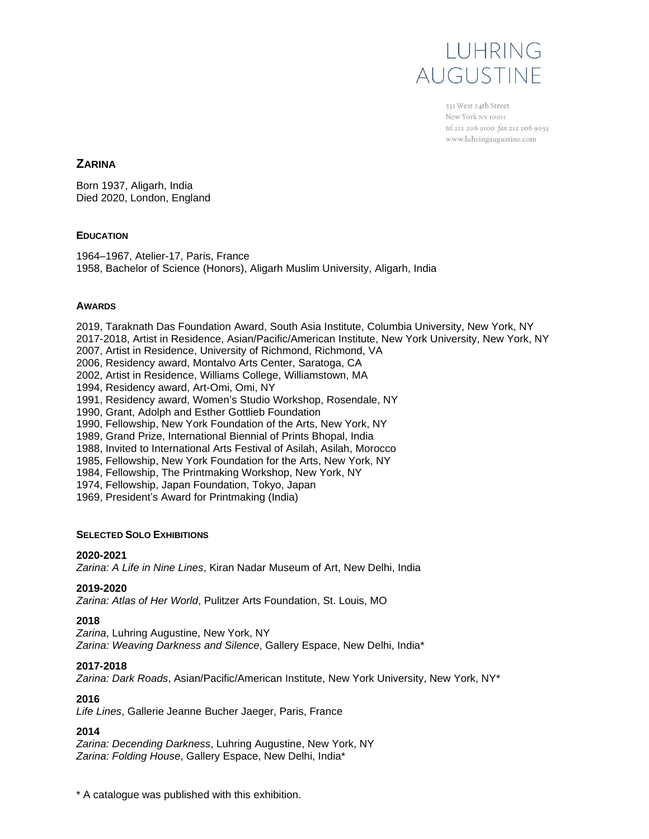

531 West 24th Street New York NY 10011 tel 212 206 9100 fax 212 206 9055 www.luhringaugustine.com

# **ZARINA**

Born 1937, Aligarh, India Died 2020, London, England

# **EDUCATION**

1964–1967, Atelier-17, Paris, France 1958, Bachelor of Science (Honors), Aligarh Muslim University, Aligarh, India

# **AWARDS**

2019, Taraknath Das Foundation Award, South Asia Institute, Columbia University, New York, NY 2017-2018, Artist in Residence, Asian/Pacific/American Institute, New York University, New York, NY 2007, Artist in Residence, University of Richmond, Richmond, VA 2006, Residency award, Montalvo Arts Center, Saratoga, CA 2002, Artist in Residence, Williams College, Williamstown, MA 1994, Residency award, Art-Omi, Omi, NY 1991, Residency award, Women's Studio Workshop, Rosendale, NY 1990, Grant, Adolph and Esther Gottlieb Foundation 1990, Fellowship, New York Foundation of the Arts, New York, NY 1989, Grand Prize, International Biennial of Prints Bhopal, India 1988, Invited to International Arts Festival of Asilah, Asilah, Morocco 1985, Fellowship, New York Foundation for the Arts, New York, NY 1984, Fellowship, The Printmaking Workshop, New York, NY 1974, Fellowship, Japan Foundation, Tokyo, Japan 1969, President's Award for Printmaking (India) **SELECTED SOLO EXHIBITIONS**

### **2020-2021**

*Zarina: A Life in Nine Lines*, Kiran Nadar Museum of Art, New Delhi, India

### **2019-2020**

*Zarina: Atlas of Her World*, Pulitzer Arts Foundation, St. Louis, MO

### **2018**

*Zarina*, Luhring Augustine, New York, NY *Zarina: Weaving Darkness and Silence*, Gallery Espace, New Delhi, India\*

### **2017-2018**

*Zarina: Dark Roads*, Asian/Pacific/American Institute, New York University, New York, NY\*

### **2016**

*Life Lines*, Gallerie Jeanne Bucher Jaeger, Paris, France

### **2014**

*Zarina: Decending Darkness*, Luhring Augustine, New York, NY *Zarina: Folding House*, Gallery Espace, New Delhi, India\*

\* A catalogue was published with this exhibition.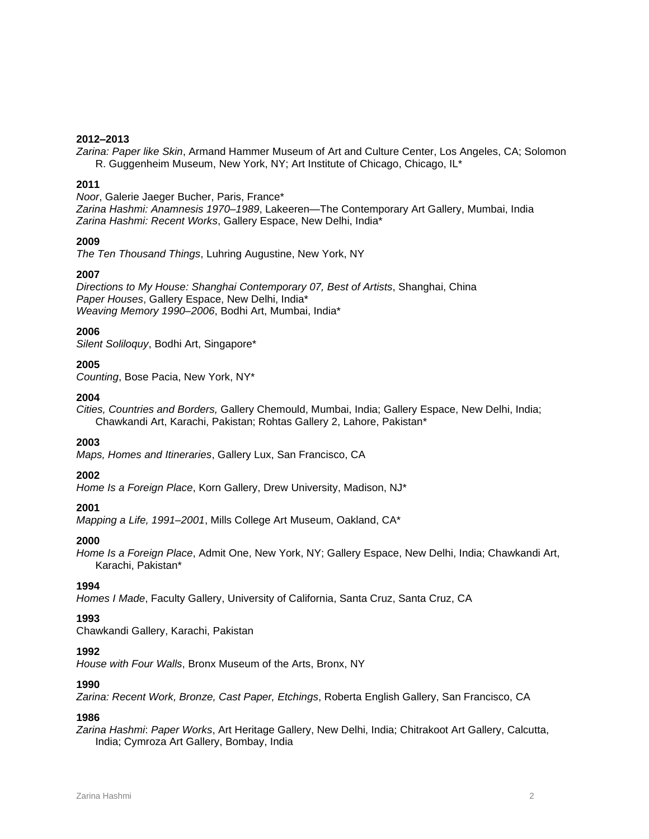### **2012–2013**

*Zarina: Paper like Skin*, Armand Hammer Museum of Art and Culture Center, Los Angeles, CA; Solomon R. Guggenheim Museum, New York, NY; Art Institute of Chicago, Chicago, IL\*

### **2011**

*Noor*, Galerie Jaeger Bucher, Paris, France\* *Zarina Hashmi: Anamnesis 1970–1989*, Lakeeren—The Contemporary Art Gallery, Mumbai, India *Zarina Hashmi: Recent Works*, Gallery Espace, New Delhi, India\*

# **2009**

*The Ten Thousand Things*, Luhring Augustine, New York, NY

# **2007**

*Directions to My House: Shanghai Contemporary 07, Best of Artists*, Shanghai, China *Paper Houses*, Gallery Espace, New Delhi, India\* *Weaving Memory 1990–2006*, Bodhi Art, Mumbai, India\*

# **2006**

*Silent Soliloquy*, Bodhi Art, Singapore\*

# **2005**

*Counting*, Bose Pacia, New York, NY\*

### **2004**

*Cities, Countries and Borders,* Gallery Chemould, Mumbai, India; Gallery Espace, New Delhi, India; Chawkandi Art, Karachi, Pakistan; Rohtas Gallery 2, Lahore, Pakistan\*

### **2003**

*Maps, Homes and Itineraries*, Gallery Lux, San Francisco, CA

### **2002**

*Home Is a Foreign Place*, Korn Gallery, Drew University, Madison, NJ\*

# **2001**

*Mapping a Life, 1991–2001*, Mills College Art Museum, Oakland, CA\*

### **2000**

*Home Is a Foreign Place*, Admit One, New York, NY; Gallery Espace, New Delhi, India; Chawkandi Art, Karachi, Pakistan\*

# **1994**

*Homes I Made*, Faculty Gallery, University of California, Santa Cruz, Santa Cruz, CA

# **1993**

Chawkandi Gallery, Karachi, Pakistan

### **1992**

*House with Four Walls*, Bronx Museum of the Arts, Bronx, NY

### **1990**

*Zarina: Recent Work, Bronze, Cast Paper, Etchings*, Roberta English Gallery, San Francisco, CA

# **1986**

*Zarina Hashmi*: *Paper Works*, Art Heritage Gallery, New Delhi, India; Chitrakoot Art Gallery, Calcutta, India; Cymroza Art Gallery, Bombay, India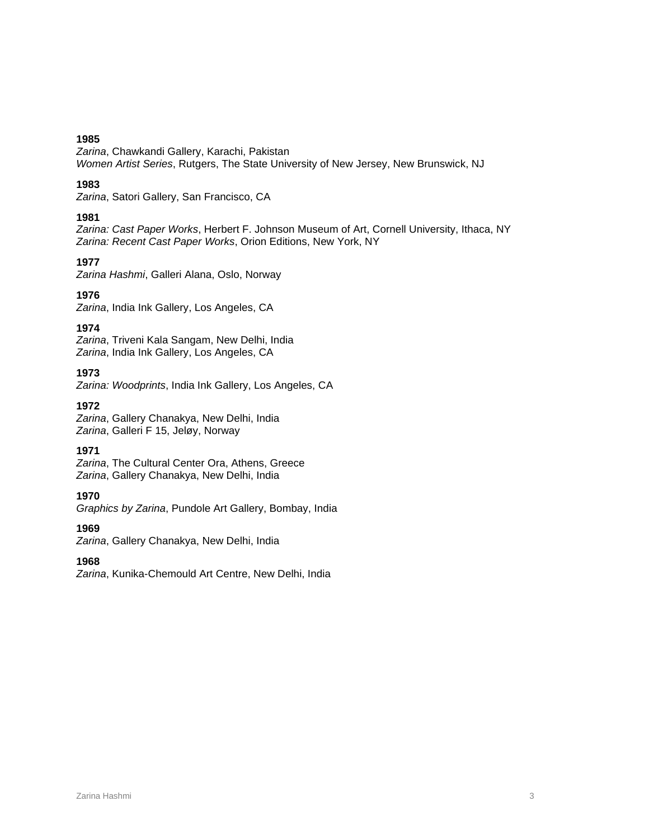*Zarina*, Chawkandi Gallery, Karachi, Pakistan *Women Artist Series*, Rutgers, The State University of New Jersey, New Brunswick, NJ

# **1983**

*Zarina*, Satori Gallery, San Francisco, CA

# **1981**

*Zarina: Cast Paper Works*, Herbert F. Johnson Museum of Art, Cornell University, Ithaca, NY *Zarina: Recent Cast Paper Works*, Orion Editions, New York, NY

# **1977**

*Zarina Hashmi*, Galleri Alana, Oslo, Norway

# **1976**

*Zarina*, India Ink Gallery, Los Angeles, CA

# **1974**

*Zarina*, Triveni Kala Sangam, New Delhi, India *Zarina*, India Ink Gallery, Los Angeles, CA

# **1973**

*Zarina: Woodprints*, India Ink Gallery, Los Angeles, CA

**1972**

*Zarina*, Gallery Chanakya, New Delhi, India *Zarina*, Galleri F 15, Jeløy, Norway

# **1971**

*Zarina*, The Cultural Center Ora, Athens, Greece *Zarina*, Gallery Chanakya, New Delhi, India

# **1970**

*Graphics by Zarina*, Pundole Art Gallery, Bombay, India

**1969**

*Zarina*, Gallery Chanakya, New Delhi, India

# **1968**

*Zarina*, Kunika-Chemould Art Centre, New Delhi, India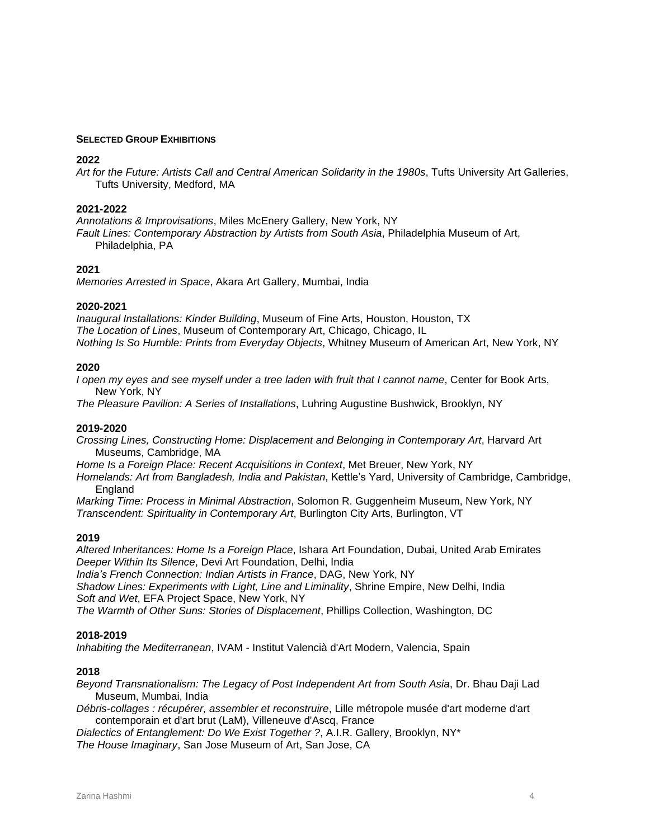### **SELECTED GROUP EXHIBITIONS**

### **2022**

*Art for the Future: Artists Call and Central American Solidarity in the 1980s*, Tufts University Art Galleries, Tufts University, Medford, MA

### **2021-2022**

*Annotations & Improvisations*, Miles McEnery Gallery, New York, NY *Fault Lines: Contemporary Abstraction by Artists from South Asia*, Philadelphia Museum of Art, Philadelphia, PA

### **2021**

*Memories Arrested in Space*, Akara Art Gallery, Mumbai, India

### **2020-2021**

*Inaugural Installations: Kinder Building*, Museum of Fine Arts, Houston, Houston, TX *The Location of Lines*, Museum of Contemporary Art, Chicago, Chicago, IL *Nothing Is So Humble: Prints from Everyday Objects*, Whitney Museum of American Art, New York, NY

### **2020**

*I open my eyes and see myself under a tree laden with fruit that I cannot name*, Center for Book Arts, New York, NY

*The Pleasure Pavilion: A Series of Installations*, Luhring Augustine Bushwick, Brooklyn, NY

### **2019-2020**

*Crossing Lines, Constructing Home: Displacement and Belonging in Contemporary Art*, Harvard Art Museums, Cambridge, MA

*Home Is a Foreign Place: Recent Acquisitions in Context*, Met Breuer, New York, NY

*Homelands: Art from Bangladesh, India and Pakistan*, Kettle's Yard, University of Cambridge, Cambridge, England

*Marking Time: Process in Minimal Abstraction*, Solomon R. Guggenheim Museum, New York, NY *Transcendent: Spirituality in Contemporary Art*, Burlington City Arts, Burlington, VT

#### **2019**

*Altered Inheritances: Home Is a Foreign Place*, Ishara Art Foundation, Dubai, United Arab Emirates *Deeper Within Its Silence*, Devi Art Foundation, Delhi, India

*India's French Connection: Indian Artists in France*, DAG, New York, NY

*Shadow Lines: Experiments with Light, Line and Liminality*, Shrine Empire, New Delhi, India *Soft and Wet*, EFA Project Space, New York, NY

*The Warmth of Other Suns: Stories of Displacement*, Phillips Collection, Washington, DC

### **2018-2019**

*Inhabiting the Mediterranean*, IVAM - Institut Valencià d'Art Modern, Valencia, Spain

### **2018**

*Beyond Transnationalism: The Legacy of Post Independent Art from South Asia*, Dr. Bhau Daji Lad Museum, Mumbai, India

*Débris-collages : récupérer, assembler et reconstruire*, Lille métropole musée d'art moderne d'art contemporain et d'art brut (LaM), Villeneuve d'Ascq, France

*Dialectics of Entanglement: Do We Exist Together ?*, A.I.R. Gallery, Brooklyn, NY\* *The House Imaginary*, San Jose Museum of Art, San Jose, CA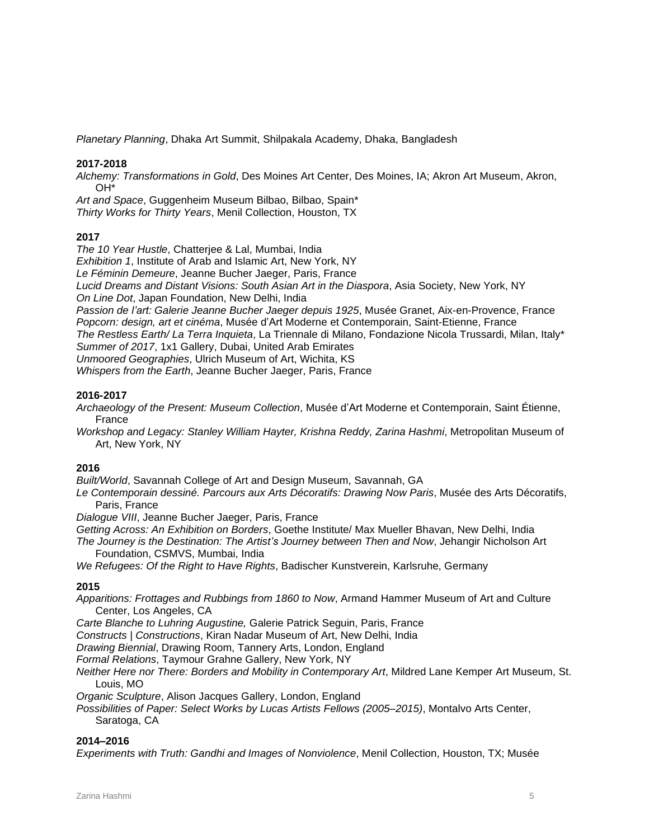*Planetary Planning*, Dhaka Art Summit, Shilpakala Academy, Dhaka, Bangladesh

### **2017-2018**

*Alchemy: Transformations in Gold*, Des Moines Art Center, Des Moines, IA; Akron Art Museum, Akron, OH\*

*Art and Space*, Guggenheim Museum Bilbao, Bilbao, Spain\* *Thirty Works for Thirty Years*, Menil Collection, Houston, TX

# **2017**

*The 10 Year Hustle*, Chatterjee & Lal, Mumbai, India *Exhibition 1*, Institute of Arab and Islamic Art, New York, NY *Le Féminin Demeure*, Jeanne Bucher Jaeger, Paris, France *Lucid Dreams and Distant Visions: South Asian Art in the Diaspora*, Asia Society, New York, NY *On Line Dot*, Japan Foundation, New Delhi, India *Passion de l'art: Galerie Jeanne Bucher Jaeger depuis 1925*, Musée Granet, Aix-en-Provence, France *Popcorn: design, art et cinéma*, Musée d'Art Moderne et Contemporain, Saint-Etienne, France *The Restless Earth/ La Terra Inquieta*, La Triennale di Milano, Fondazione Nicola Trussardi, Milan, Italy\* *Summer of 2017*, 1x1 Gallery, Dubai, United Arab Emirates *Unmoored Geographies*, Ulrich Museum of Art, Wichita, KS *Whispers from the Earth*, Jeanne Bucher Jaeger, Paris, France

# **2016-2017**

*Archaeology of the Present: Museum Collection*, Musée d'Art Moderne et Contemporain, Saint Étienne, France

*Workshop and Legacy: Stanley William Hayter, Krishna Reddy, Zarina Hashmi*, Metropolitan Museum of Art, New York, NY

### **2016**

*Built/World*, Savannah College of Art and Design Museum, Savannah, GA

*Le Contemporain dessiné. Parcours aux Arts Décoratifs: Drawing Now Paris*, Musée des Arts Décoratifs, Paris, France

*Dialogue VIII*, Jeanne Bucher Jaeger, Paris, France

*Getting Across: An Exhibition on Borders*, Goethe Institute/ Max Mueller Bhavan, New Delhi, India

*The Journey is the Destination: The Artist's Journey between Then and Now*, Jehangir Nicholson Art Foundation, CSMVS, Mumbai, India

*We Refugees: Of the Right to Have Rights*, Badischer Kunstverein, Karlsruhe, Germany

### **2015**

*Apparitions: Frottages and Rubbings from 1860 to Now*, Armand Hammer Museum of Art and Culture Center, Los Angeles, CA

*Carte Blanche to Luhring Augustine,* Galerie Patrick Seguin, Paris, France

*Constructs | Constructions*, Kiran Nadar Museum of Art, New Delhi, India

*Drawing Biennial*, Drawing Room, Tannery Arts, London, England

*Formal Relations*, Taymour Grahne Gallery, New York, NY

*Neither Here nor There: Borders and Mobility in Contemporary Art*, Mildred Lane Kemper Art Museum, St. Louis, MO

*Organic Sculpture*, Alison Jacques Gallery, London, England

*Possibilities of Paper: Select Works by Lucas Artists Fellows (2005–2015)*, Montalvo Arts Center, Saratoga, CA

### **2014–2016**

*Experiments with Truth: Gandhi and Images of Nonviolence*, Menil Collection, Houston, TX; Musée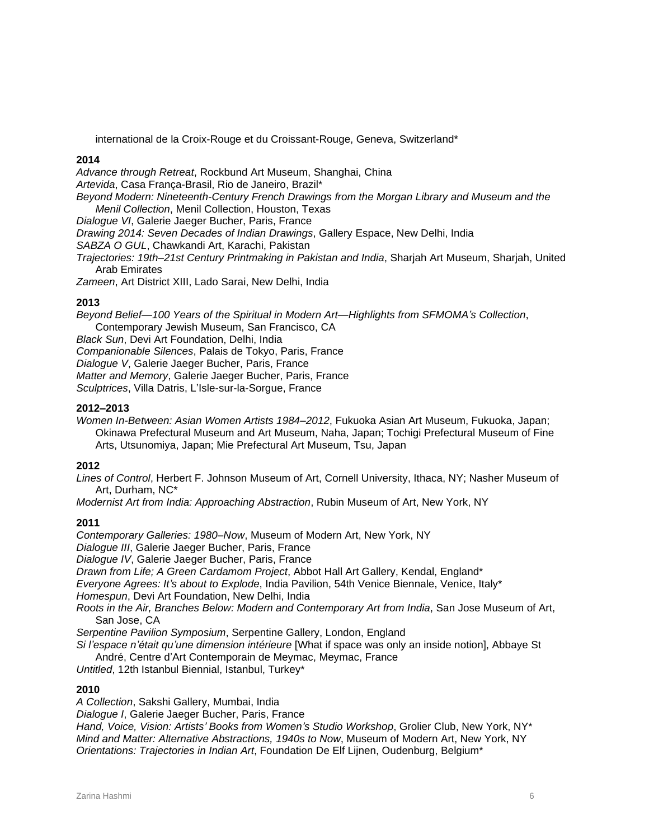international de la Croix-Rouge et du Croissant-Rouge, Geneva, Switzerland\*

# **2014**

*Advance through Retreat*, Rockbund Art Museum, Shanghai, China *Artevida*, Casa França-Brasil, Rio de Janeiro, Brazil\* *Beyond Modern: Nineteenth-Century French Drawings from the Morgan Library and Museum and the Menil Collection*, Menil Collection, Houston, Texas *Dialogue VI*, Galerie Jaeger Bucher, Paris, France *Drawing 2014: Seven Decades of Indian Drawings*, Gallery Espace, New Delhi, India *SABZA O GUL*, Chawkandi Art, Karachi, Pakistan *Trajectories: 19th–21st Century Printmaking in Pakistan and India*, Sharjah Art Museum, Sharjah, United Arab Emirates *Zameen*, Art District XIII, Lado Sarai, New Delhi, India

# **2013**

*Beyond Belief—100 Years of the Spiritual in Modern Art—Highlights from SFMOMA's Collection*, Contemporary Jewish Museum, San Francisco, CA *Black Sun*, Devi Art Foundation, Delhi, India

*Companionable Silences*, Palais de Tokyo, Paris, France

*Dialogue V*, Galerie Jaeger Bucher, Paris, France

*Matter and Memory*, Galerie Jaeger Bucher, Paris, France

*Sculptrices*, Villa Datris, L'Isle-sur-la-Sorgue, France

# **2012–2013**

*Women In-Between: Asian Women Artists 1984–2012*, Fukuoka Asian Art Museum, Fukuoka, Japan; Okinawa Prefectural Museum and Art Museum, Naha, Japan; Tochigi Prefectural Museum of Fine Arts, Utsunomiya, Japan; Mie Prefectural Art Museum, Tsu, Japan

### **2012**

*Lines of Control*, Herbert F. Johnson Museum of Art, Cornell University, Ithaca, NY; Nasher Museum of Art, Durham, NC\*

*Modernist Art from India: Approaching Abstraction*, Rubin Museum of Art, New York, NY

### **2011**

*Contemporary Galleries: 1980–Now*, Museum of Modern Art, New York, NY *Dialogue III*, Galerie Jaeger Bucher, Paris, France *Dialogue IV*, Galerie Jaeger Bucher, Paris, France *Drawn from Life; A Green Cardamom Project*, Abbot Hall Art Gallery, Kendal, England\* *Everyone Agrees: It's about to Explode*, India Pavilion, 54th Venice Biennale, Venice, Italy\* *Homespun*, Devi Art Foundation, New Delhi, India *Roots in the Air, Branches Below: Modern and Contemporary Art from India*, San Jose Museum of Art, San Jose, CA *Serpentine Pavilion Symposium*, Serpentine Gallery, London, England *Si l'espace n'était qu'une dimension intérieure* [What if space was only an inside notion], Abbaye St André, Centre d'Art Contemporain de Meymac, Meymac, France

*Untitled*, 12th Istanbul Biennial, Istanbul, Turkey\*

### **2010**

*A Collection*, Sakshi Gallery, Mumbai, India

*Dialogue I*, Galerie Jaeger Bucher, Paris, France *Hand, Voice, Vision: Artists' Books from Women's Studio Workshop*, Grolier Club, New York, NY\* *Mind and Matter: Alternative Abstractions, 1940s to Now*, Museum of Modern Art, New York, NY *Orientations: Trajectories in Indian Art*, Foundation De Elf Lijnen, Oudenburg, Belgium\*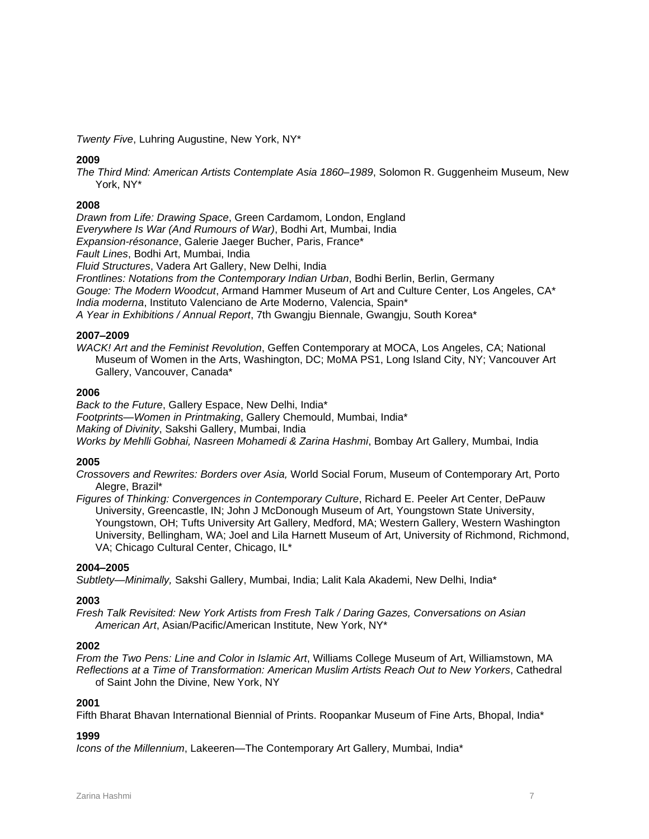*Twenty Five*, Luhring Augustine, New York, NY\*

### **2009**

*The Third Mind: American Artists Contemplate Asia 1860–1989*, Solomon R. Guggenheim Museum, New York, NY\*

### **2008**

*Drawn from Life: Drawing Space*, Green Cardamom, London, England *Everywhere Is War (And Rumours of War)*, Bodhi Art, Mumbai, India *Expansion-résonance*, Galerie Jaeger Bucher, Paris, France\* *Fault Lines*, Bodhi Art, Mumbai, India *Fluid Structures*, Vadera Art Gallery, New Delhi, India *Frontlines: Notations from the Contemporary Indian Urban*, Bodhi Berlin, Berlin, Germany *Gouge: The Modern Woodcut*, Armand Hammer Museum of Art and Culture Center, Los Angeles, CA\* *India moderna*, Instituto Valenciano de Arte Moderno, Valencia, Spain\* *A Year in Exhibitions / Annual Report*, 7th Gwangju Biennale, Gwangju, South Korea\*

### **2007–2009**

*WACK! Art and the Feminist Revolution*, Geffen Contemporary at MOCA, Los Angeles, CA; National Museum of Women in the Arts, Washington, DC; MoMA PS1, Long Island City, NY; Vancouver Art Gallery, Vancouver, Canada\*

### **2006**

*Back to the Future*, Gallery Espace, New Delhi, India\* *Footprints—Women in Printmaking*, Gallery Chemould, Mumbai, India\* *Making of Divinity*, Sakshi Gallery, Mumbai, India *Works by Mehlli Gobhai, Nasreen Mohamedi & Zarina Hashmi*, Bombay Art Gallery, Mumbai, India

### **2005**

*Crossovers and Rewrites: Borders over Asia,* World Social Forum, Museum of Contemporary Art, Porto Alegre, Brazil\*

*Figures of Thinking: Convergences in Contemporary Culture*, Richard E. Peeler Art Center, DePauw University, Greencastle, IN; John J McDonough Museum of Art, Youngstown State University, Youngstown, OH; Tufts University Art Gallery, Medford, MA; Western Gallery, Western Washington University, Bellingham, WA; Joel and Lila Harnett Museum of Art, University of Richmond, Richmond, VA; Chicago Cultural Center, Chicago, IL\*

### **2004–2005**

*Subtlety—Minimally,* Sakshi Gallery, Mumbai, India; Lalit Kala Akademi, New Delhi, India\*

### **2003**

*Fresh Talk Revisited: New York Artists from Fresh Talk / Daring Gazes, Conversations on Asian American Art*, Asian/Pacific/American Institute, New York, NY\*

### **2002**

*From the Two Pens: Line and Color in Islamic Art*, Williams College Museum of Art, Williamstown, MA *Reflections at a Time of Transformation: American Muslim Artists Reach Out to New Yorkers*, Cathedral of Saint John the Divine, New York, NY

### **2001**

Fifth Bharat Bhavan International Biennial of Prints. Roopankar Museum of Fine Arts, Bhopal, India\*

#### **1999**

*Icons of the Millennium*, Lakeeren—The Contemporary Art Gallery, Mumbai, India\*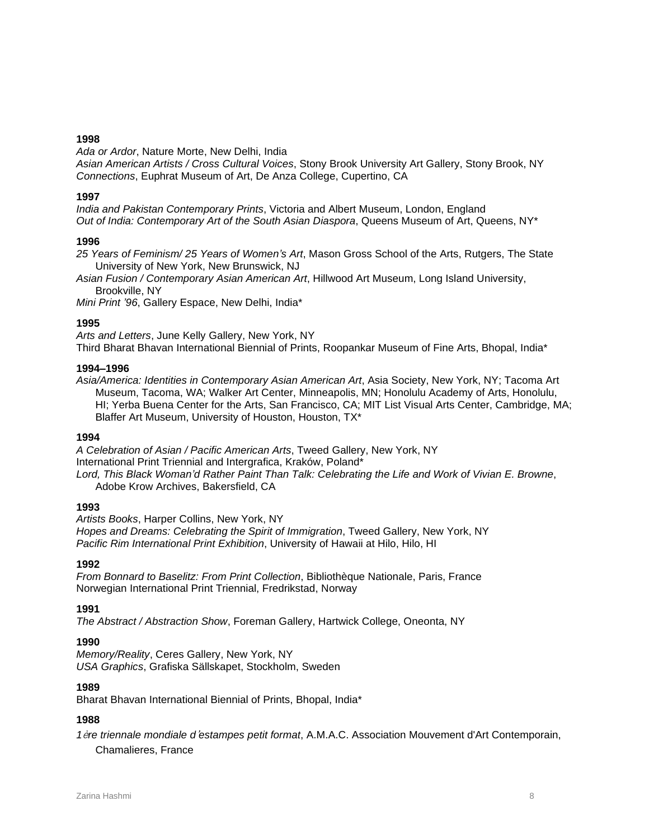*Ada or Ardor*, Nature Morte, New Delhi, India

*Asian American Artists / Cross Cultural Voices*, Stony Brook University Art Gallery, Stony Brook, NY *Connections*, Euphrat Museum of Art, De Anza College, Cupertino, CA

### **1997**

*India and Pakistan Contemporary Prints*, Victoria and Albert Museum, London, England *Out of India: Contemporary Art of the South Asian Diaspora*, Queens Museum of Art, Queens, NY\*

# **1996**

*25 Years of Feminism/ 25 Years of Women's Art*, Mason Gross School of the Arts, Rutgers, The State University of New York, New Brunswick, NJ

*Asian Fusion / Contemporary Asian American Art*, Hillwood Art Museum, Long Island University, Brookville, NY

*Mini Print '96*, Gallery Espace, New Delhi, India\*

# **1995**

*Arts and Letters*, June Kelly Gallery, New York, NY Third Bharat Bhavan International Biennial of Prints, Roopankar Museum of Fine Arts, Bhopal, India\*

# **1994–1996**

*Asia/America: Identities in Contemporary Asian American Art*, Asia Society, New York, NY; Tacoma Art Museum, Tacoma, WA; Walker Art Center, Minneapolis, MN; Honolulu Academy of Arts, Honolulu, HI; Yerba Buena Center for the Arts, San Francisco, CA; MIT List Visual Arts Center, Cambridge, MA; Blaffer Art Museum, University of Houston, Houston, TX\*

# **1994**

*A Celebration of Asian / Pacific American Arts*, Tweed Gallery, New York, NY International Print Triennial and Intergrafica, Kraków, Poland\* *Lord, This Black Woman'd Rather Paint Than Talk: Celebrating the Life and Work of Vivian E. Browne*, Adobe Krow Archives, Bakersfield, CA

# **1993**

*Artists Books*, Harper Collins, New York, NY *Hopes and Dreams: Celebrating the Spirit of Immigration*, Tweed Gallery, New York, NY *Pacific Rim International Print Exhibition*, University of Hawaii at Hilo, Hilo, HI

# **1992**

*From Bonnard to Baselitz: From Print Collection*, Bibliothèque Nationale, Paris, France Norwegian International Print Triennial, Fredrikstad, Norway

# **1991**

*The Abstract / Abstraction Show*, Foreman Gallery, Hartwick College, Oneonta, NY

# **1990**

*Memory/Reality*, Ceres Gallery, New York, NY *USA Graphics*, Grafiska Sällskapet, Stockholm, Sweden

### **1989**

Bharat Bhavan International Biennial of Prints, Bhopal, India\*

# **1988**

*1*è*re triennale mondiale d*'*estampes petit format*, A.M.A.C. Association Mouvement d'Art Contemporain, Chamalieres, France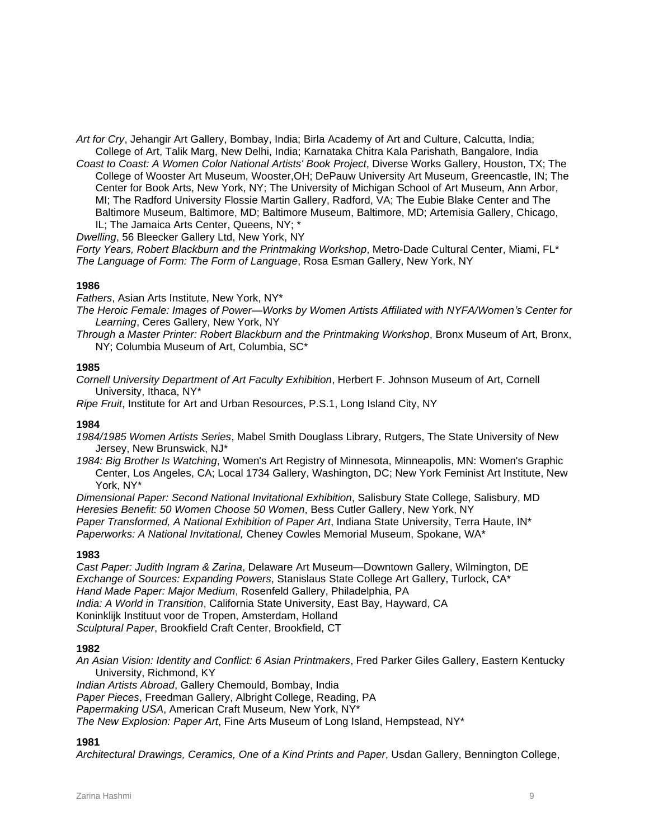*Art for Cry*, Jehangir Art Gallery, Bombay, India; Birla Academy of Art and Culture, Calcutta, India; College of Art, Talik Marg, New Delhi, India; Karnataka Chitra Kala Parishath, Bangalore, India

*Coast to Coast: A Women Color National Artists' Book Project*, Diverse Works Gallery, Houston, TX; The College of Wooster Art Museum, Wooster,OH; DePauw University Art Museum, Greencastle, IN; The Center for Book Arts, New York, NY; The University of Michigan School of Art Museum, Ann Arbor, MI; The Radford University Flossie Martin Gallery, Radford, VA; The Eubie Blake Center and The Baltimore Museum, Baltimore, MD; Baltimore Museum, Baltimore, MD; Artemisia Gallery, Chicago, IL; The Jamaica Arts Center, Queens, NY; \*

*Dwelling*, 56 Bleecker Gallery Ltd, New York, NY

*Forty Years, Robert Blackburn and the Printmaking Workshop*, Metro-Dade Cultural Center, Miami, FL\* *The Language of Form: The Form of Language*, Rosa Esman Gallery, New York, NY

# **1986**

*Fathers*, Asian Arts Institute, New York, NY\*

- *The Heroic Female: Images of Power—Works by Women Artists Affiliated with NYFA/Women's Center for Learning*, Ceres Gallery, New York, NY
- *Through a Master Printer: Robert Blackburn and the Printmaking Workshop*, Bronx Museum of Art, Bronx, NY; Columbia Museum of Art, Columbia, SC\*

# **1985**

*Cornell University Department of Art Faculty Exhibition*, Herbert F. Johnson Museum of Art, Cornell University, Ithaca, NY\*

*Ripe Fruit*, Institute for Art and Urban Resources, P.S.1, Long Island City, NY

### **1984**

- *1984/1985 Women Artists Series*, Mabel Smith Douglass Library, Rutgers, The State University of New Jersey, New Brunswick, NJ\*
- *1984: Big Brother Is Watching*, Women's Art Registry of Minnesota, Minneapolis, MN: Women's Graphic Center, Los Angeles, CA; Local 1734 Gallery, Washington, DC; New York Feminist Art Institute, New York, NY\*

*Dimensional Paper: Second National Invitational Exhibition*, Salisbury State College, Salisbury, MD *Heresies Benefit: 50 Women Choose 50 Women*, Bess Cutler Gallery, New York, NY *Paper Transformed, A National Exhibition of Paper Art*, Indiana State University, Terra Haute, IN\* *Paperworks: A National Invitational,* Cheney Cowles Memorial Museum, Spokane, WA\*

### **1983**

*Cast Paper: Judith Ingram & Zarina*, Delaware Art Museum—Downtown Gallery, Wilmington, DE *Exchange of Sources: Expanding Powers*, Stanislaus State College Art Gallery, Turlock, CA\* *Hand Made Paper: Major Medium*, Rosenfeld Gallery, Philadelphia, PA *India: A World in Transition*, California State University, East Bay, Hayward, CA Koninklijk Instituut voor de Tropen, Amsterdam, Holland *Sculptural Paper*, Brookfield Craft Center, Brookfield, CT

### **1982**

*An Asian Vision: Identity and Conflict: 6 Asian Printmakers*, Fred Parker Giles Gallery, Eastern Kentucky University, Richmond, KY

*Indian Artists Abroad*, Gallery Chemould, Bombay, India

*Paper Pieces*, Freedman Gallery, Albright College, Reading, PA

*Papermaking USA*, American Craft Museum, New York, NY\*

*The New Explosion: Paper Art*, Fine Arts Museum of Long Island, Hempstead, NY\*

### **1981**

*Architectural Drawings, Ceramics, One of a Kind Prints and Paper*, Usdan Gallery, Bennington College,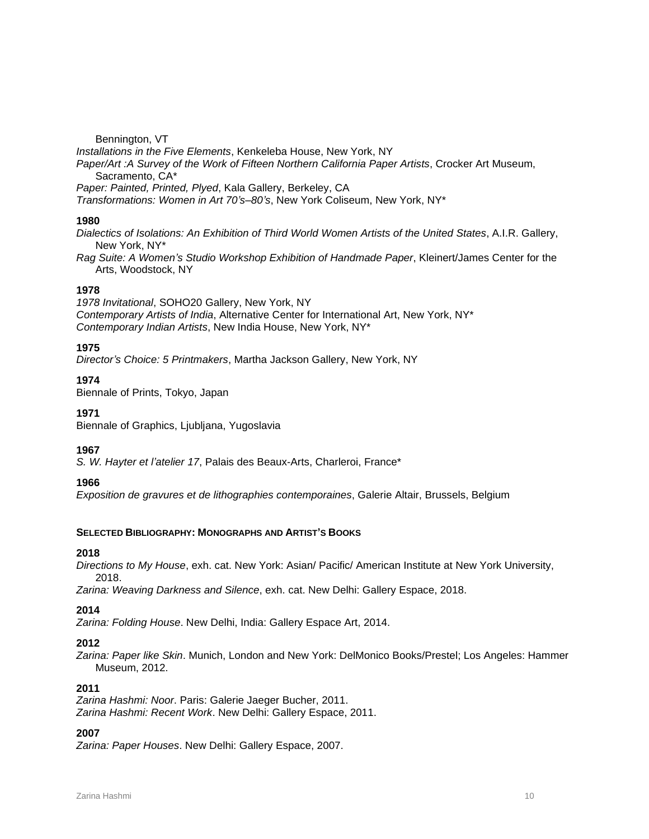### Bennington, VT

*Installations in the Five Elements*, Kenkeleba House, New York, NY *Paper/Art :A Survey of the Work of Fifteen Northern California Paper Artists*, Crocker Art Museum, Sacramento, CA\* *Paper: Painted, Printed, Plyed*, Kala Gallery, Berkeley, CA *Transformations: Women in Art 70's–80's*, New York Coliseum, New York, NY\*

# **1980**

*Dialectics of Isolations: An Exhibition of Third World Women Artists of the United States*, A.I.R. Gallery, New York, NY\*

*Rag Suite: A Women's Studio Workshop Exhibition of Handmade Paper*, Kleinert/James Center for the Arts, Woodstock, NY

# **1978**

*1978 Invitational*, SOHO20 Gallery, New York, NY *Contemporary Artists of India*, Alternative Center for International Art, New York, NY\* *Contemporary Indian Artists*, New India House, New York, NY\*

# **1975**

*Director's Choice: 5 Printmakers*, Martha Jackson Gallery, New York, NY

# **1974**

Biennale of Prints, Tokyo, Japan

### **1971**

Biennale of Graphics, Ljubljana, Yugoslavia

### **1967**

*S. W. Hayter et l'atelier 17*, Palais des Beaux-Arts, Charleroi, France\*

### **1966**

*Exposition de gravures et de lithographies contemporaines*, Galerie Altair, Brussels, Belgium

### **SELECTED BIBLIOGRAPHY: MONOGRAPHS AND ARTIST'S BOOKS**

### **2018**

*Directions to My House*, exh. cat. New York: Asian/ Pacific/ American Institute at New York University, 2018.

*Zarina: Weaving Darkness and Silence*, exh. cat. New Delhi: Gallery Espace, 2018.

### **2014**

*Zarina: Folding House*. New Delhi, India: Gallery Espace Art, 2014.

### **2012**

*Zarina: Paper like Skin*. Munich, London and New York: DelMonico Books/Prestel; Los Angeles: Hammer Museum, 2012.

# **2011**

*Zarina Hashmi: Noor*. Paris: Galerie Jaeger Bucher, 2011. *Zarina Hashmi: Recent Work*. New Delhi: Gallery Espace, 2011.

# **2007**

*Zarina: Paper Houses*. New Delhi: Gallery Espace, 2007.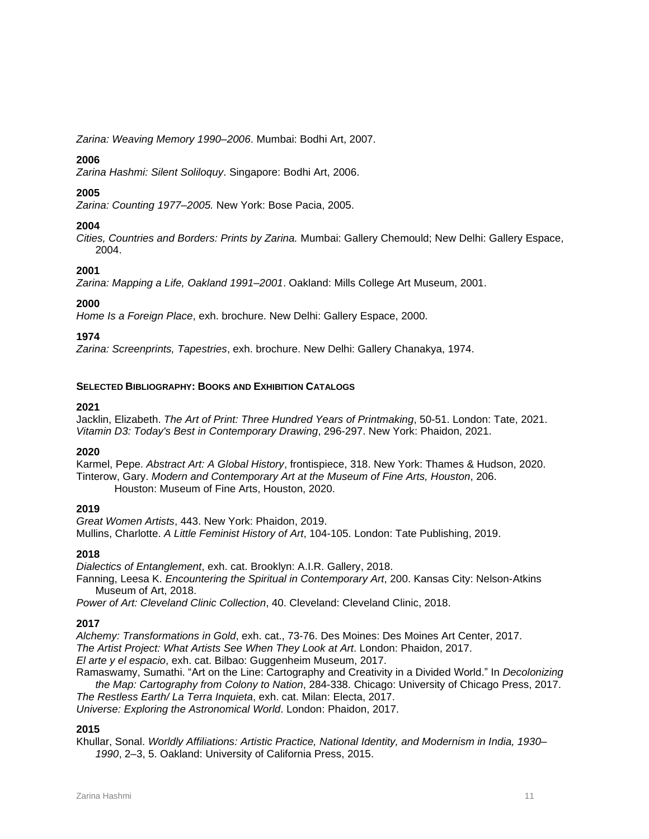*Zarina: Weaving Memory 1990–2006*. Mumbai: Bodhi Art, 2007.

# **2006**

*Zarina Hashmi: Silent Soliloquy*. Singapore: Bodhi Art, 2006.

# **2005**

*Zarina: Counting 1977–2005.* New York: Bose Pacia, 2005.

# **2004**

*Cities, Countries and Borders: Prints by Zarina.* Mumbai: Gallery Chemould; New Delhi: Gallery Espace, 2004.

# **2001**

*Zarina: Mapping a Life, Oakland 1991–2001*. Oakland: Mills College Art Museum, 2001.

# **2000**

*Home Is a Foreign Place*, exh. brochure. New Delhi: Gallery Espace, 2000.

# **1974**

*Zarina: Screenprints, Tapestries*, exh. brochure. New Delhi: Gallery Chanakya, 1974.

# **SELECTED BIBLIOGRAPHY: BOOKS AND EXHIBITION CATALOGS**

# **2021**

Jacklin, Elizabeth. *The Art of Print: Three Hundred Years of Printmaking*, 50-51. London: Tate, 2021. *Vitamin D3: Today's Best in Contemporary Drawing*, 296-297. New York: Phaidon, 2021.

# **2020**

Karmel, Pepe. *Abstract Art: A Global History*, frontispiece, 318. New York: Thames & Hudson, 2020. Tinterow, Gary. *Modern and Contemporary Art at the Museum of Fine Arts, Houston*, 206. Houston: Museum of Fine Arts, Houston, 2020.

# **2019**

*Great Women Artists*, 443. New York: Phaidon, 2019. Mullins, Charlotte. *A Little Feminist History of Art*, 104-105. London: Tate Publishing, 2019.

# **2018**

*Dialectics of Entanglement*, exh. cat. Brooklyn: A.I.R. Gallery, 2018.

Fanning, Leesa K. *Encountering the Spiritual in Contemporary Art*, 200. Kansas City: Nelson-Atkins Museum of Art, 2018.

*Power of Art: Cleveland Clinic Collection*, 40. Cleveland: Cleveland Clinic, 2018.

# **2017**

*Alchemy: Transformations in Gold*, exh. cat., 73-76. Des Moines: Des Moines Art Center, 2017.

*The Artist Project: What Artists See When They Look at Art*. London: Phaidon, 2017.

*El arte y el espacio*, exh. cat. Bilbao: Guggenheim Museum, 2017.

Ramaswamy, Sumathi. "Art on the Line: Cartography and Creativity in a Divided World." In *Decolonizing the Map: Cartography from Colony to Nation*, 284-338. Chicago: University of Chicago Press, 2017.

*The Restless Earth/ La Terra Inquieta*, exh. cat. Milan: Electa, 2017.

*Universe: Exploring the Astronomical World*. London: Phaidon, 2017.

# **2015**

Khullar, Sonal. *Worldly Affiliations: Artistic Practice, National Identity, and Modernism in India, 1930– 1990*, 2–3, 5. Oakland: University of California Press, 2015.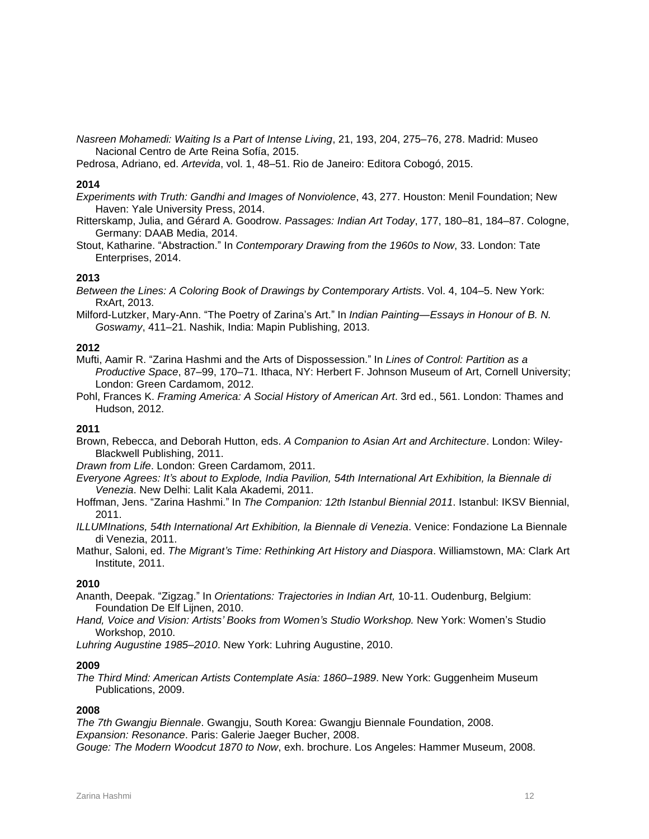*Nasreen Mohamedi: Waiting Is a Part of Intense Living*, 21, 193, 204, 275–76, 278. Madrid: Museo Nacional Centro de Arte Reina Sofía, 2015.

Pedrosa, Adriano, ed. *Artevida*, vol. 1, 48–51. Rio de Janeiro: Editora Cobogó, 2015.

### **2014**

*Experiments with Truth: Gandhi and Images of Nonviolence*, 43, 277. Houston: Menil Foundation; New Haven: Yale University Press, 2014.

Ritterskamp, Julia, and Gérard A. Goodrow. *Passages: Indian Art Today*, 177, 180–81, 184–87. Cologne, Germany: DAAB Media, 2014.

Stout, Katharine. "Abstraction." In *Contemporary Drawing from the 1960s to Now*, 33. London: Tate Enterprises, 2014.

### **2013**

*Between the Lines: A Coloring Book of Drawings by Contemporary Artists*. Vol. 4, 104–5. New York: RxArt, 2013.

Milford-Lutzker, Mary-Ann. "The Poetry of Zarina's Art." In *Indian Painting—Essays in Honour of B. N. Goswamy*, 411–21. Nashik, India: Mapin Publishing, 2013.

#### **2012**

Mufti, Aamir R. "Zarina Hashmi and the Arts of Dispossession." In *Lines of Control: Partition as a Productive Space*, 87–99, 170–71. Ithaca, NY: Herbert F. Johnson Museum of Art, Cornell University; London: Green Cardamom, 2012.

Pohl, Frances K. *Framing America: A Social History of American Art*. 3rd ed., 561. London: Thames and Hudson, 2012.

#### **2011**

Brown, Rebecca, and Deborah Hutton, eds. *A Companion to Asian Art and Architecture*. London: Wiley-Blackwell Publishing, 2011.

*Drawn from Life*. London: Green Cardamom, 2011.

- *Everyone Agrees: It's about to Explode, India Pavilion, 54th International Art Exhibition, la Biennale di Venezia*. New Delhi: Lalit Kala Akademi, 2011.
- Hoffman, Jens. "Zarina Hashmi." In *The Companion: 12th Istanbul Biennial 2011*. Istanbul: IKSV Biennial, 2011.

*ILLUMInations, 54th International Art Exhibition, la Biennale di Venezia*. Venice: Fondazione La Biennale di Venezia, 2011.

Mathur, Saloni, ed. *The Migrant's Time: Rethinking Art History and Diaspora*. Williamstown, MA: Clark Art Institute, 2011.

### **2010**

Ananth, Deepak. "Zigzag." In *Orientations: Trajectories in Indian Art,* 10-11. Oudenburg, Belgium: Foundation De Elf Lijnen, 2010.

*Hand, Voice and Vision: Artists' Books from Women's Studio Workshop.* New York: Women's Studio Workshop, 2010.

*Luhring Augustine 1985–2010*. New York: Luhring Augustine, 2010.

#### **2009**

*The Third Mind: American Artists Contemplate Asia: 1860–1989*. New York: Guggenheim Museum Publications, 2009.

# **2008**

*The 7th Gwangju Biennale*. Gwangju, South Korea: Gwangju Biennale Foundation, 2008. *Expansion: Resonance*. Paris: Galerie Jaeger Bucher, 2008.

*Gouge: The Modern Woodcut 1870 to Now*, exh. brochure. Los Angeles: Hammer Museum, 2008.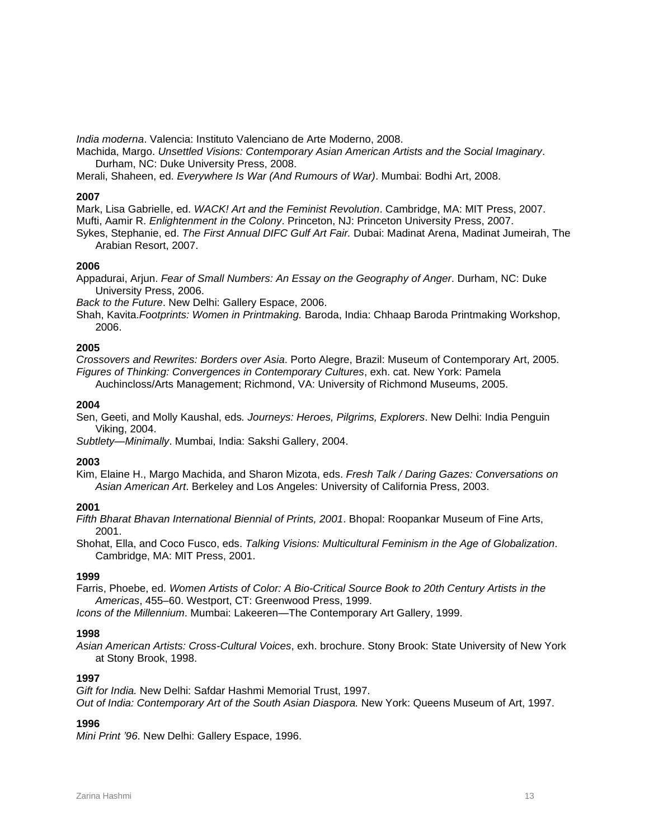*India moderna*. Valencia: Instituto Valenciano de Arte Moderno, 2008.

Machida, Margo. *Unsettled Visions: Contemporary Asian American Artists and the Social Imaginary*. Durham, NC: Duke University Press, 2008.

Merali, Shaheen, ed. *Everywhere Is War (And Rumours of War)*. Mumbai: Bodhi Art, 2008.

### **2007**

Mark, Lisa Gabrielle, ed. *WACK! Art and the Feminist Revolution*. Cambridge, MA: MIT Press, 2007. Mufti, Aamir R. *Enlightenment in the Colony*. Princeton, NJ: Princeton University Press, 2007.

Sykes, Stephanie, ed. *The First Annual DIFC Gulf Art Fair.* Dubai: Madinat Arena, Madinat Jumeirah, The Arabian Resort, 2007.

### **2006**

Appadurai, Arjun. *Fear of Small Numbers: An Essay on the Geography of Anger*. Durham, NC: Duke University Press, 2006.

*Back to the Future*. New Delhi: Gallery Espace, 2006.

Shah, Kavita.*Footprints: Women in Printmaking.* Baroda, India: Chhaap Baroda Printmaking Workshop, 2006.

### **2005**

*Crossovers and Rewrites: Borders over Asia*. Porto Alegre, Brazil: Museum of Contemporary Art, 2005. *Figures of Thinking: Convergences in Contemporary Cultures*, exh. cat. New York: Pamela Auchincloss/Arts Management; Richmond, VA: University of Richmond Museums, 2005.

#### **2004**

Sen, Geeti, and Molly Kaushal, eds*. Journeys: Heroes, Pilgrims, Explorers*. New Delhi: India Penguin Viking, 2004.

*Subtlety—Minimally*. Mumbai, India: Sakshi Gallery, 2004.

### **2003**

Kim, Elaine H., Margo Machida, and Sharon Mizota, eds. *Fresh Talk / Daring Gazes: Conversations on Asian American Art*. Berkeley and Los Angeles: University of California Press, 2003.

### **2001**

*Fifth Bharat Bhavan International Biennial of Prints, 2001*. Bhopal: Roopankar Museum of Fine Arts, 2001.

Shohat, Ella, and Coco Fusco, eds. *Talking Visions: Multicultural Feminism in the Age of Globalization*. Cambridge, MA: MIT Press, 2001.

### **1999**

Farris, Phoebe, ed. *Women Artists of Color: A Bio-Critical Source Book to 20th Century Artists in the Americas*, 455–60. Westport, CT: Greenwood Press, 1999.

*Icons of the Millennium*. Mumbai: Lakeeren—The Contemporary Art Gallery, 1999.

### **1998**

*Asian American Artists: Cross-Cultural Voices*, exh. brochure. Stony Brook: State University of New York at Stony Brook, 1998.

### **1997**

*Gift for India.* New Delhi: Safdar Hashmi Memorial Trust, 1997. *Out of India: Contemporary Art of the South Asian Diaspora.* New York: Queens Museum of Art, 1997.

# **1996**

*Mini Print '96*. New Delhi: Gallery Espace, 1996.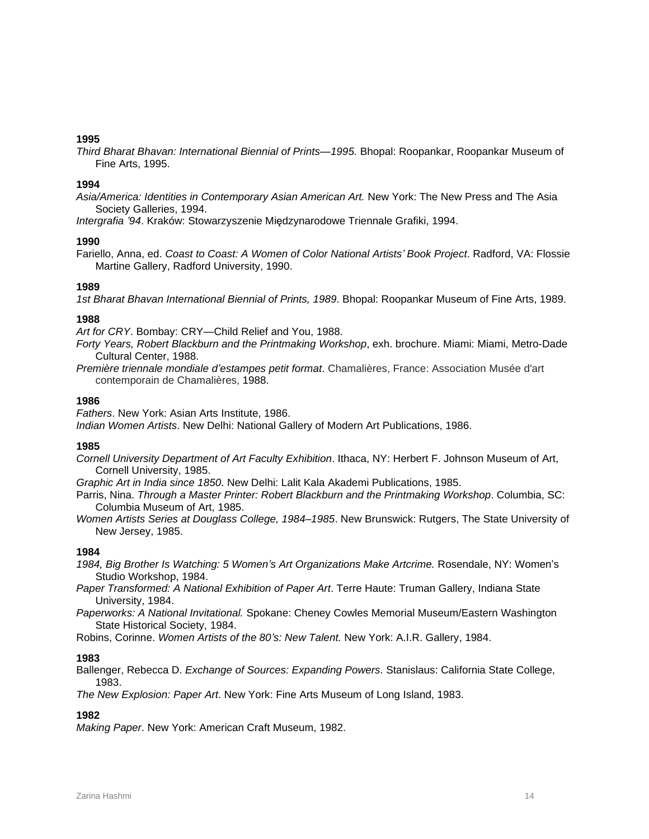*Third Bharat Bhavan: International Biennial of Prints—1995.* Bhopal: Roopankar, Roopankar Museum of Fine Arts, 1995.

### **1994**

*Asia/America: Identities in Contemporary Asian American Art.* New York: The New Press and The Asia Society Galleries, 1994.

*Intergrafia '94*. Kraków: Stowarzyszenie Międzynarodowe Triennale Grafiki, 1994.

### **1990**

Fariello, Anna, ed. *Coast to Coast: A Women of Color National Artists' Book Project*. Radford, VA: Flossie Martine Gallery, Radford University, 1990.

### **1989**

*1st Bharat Bhavan International Biennial of Prints, 1989*. Bhopal: Roopankar Museum of Fine Arts, 1989.

### **1988**

*Art for CRY*. Bombay: CRY—Child Relief and You, 1988.

*Forty Years, Robert Blackburn and the Printmaking Workshop*, exh. brochure. Miami: Miami, Metro-Dade Cultural Center, 1988.

*Première triennale mondiale d'estampes petit format*. Chamalières, France: Association Musée d'art contemporain de Chamalières, 1988.

### **1986**

*Fathers*. New York: Asian Arts Institute, 1986.

*Indian Women Artists*. New Delhi: National Gallery of Modern Art Publications, 1986.

### **1985**

*Cornell University Department of Art Faculty Exhibition*. Ithaca, NY: Herbert F. Johnson Museum of Art, Cornell University, 1985.

*Graphic Art in India since 1850*. New Delhi: Lalit Kala Akademi Publications, 1985.

Parris, Nina. *Through a Master Printer: Robert Blackburn and the Printmaking Workshop*. Columbia, SC: Columbia Museum of Art, 1985.

*Women Artists Series at Douglass College, 1984–1985*. New Brunswick: Rutgers, The State University of New Jersey, 1985.

### **1984**

*1984, Big Brother Is Watching: 5 Women's Art Organizations Make Artcrime.* Rosendale, NY: Women's Studio Workshop, 1984.

*Paper Transformed: A National Exhibition of Paper Art*. Terre Haute: Truman Gallery, Indiana State University, 1984.

*Paperworks: A National Invitational.* Spokane: Cheney Cowles Memorial Museum/Eastern Washington State Historical Society, 1984.

Robins, Corinne. *Women Artists of the 80's: New Talent.* New York: A.I.R. Gallery, 1984.

### **1983**

Ballenger, Rebecca D. *Exchange of Sources: Expanding Powers*. Stanislaus: California State College, 1983.

*The New Explosion: Paper Art*. New York: Fine Arts Museum of Long Island, 1983.

# **1982**

*Making Paper*. New York: American Craft Museum, 1982.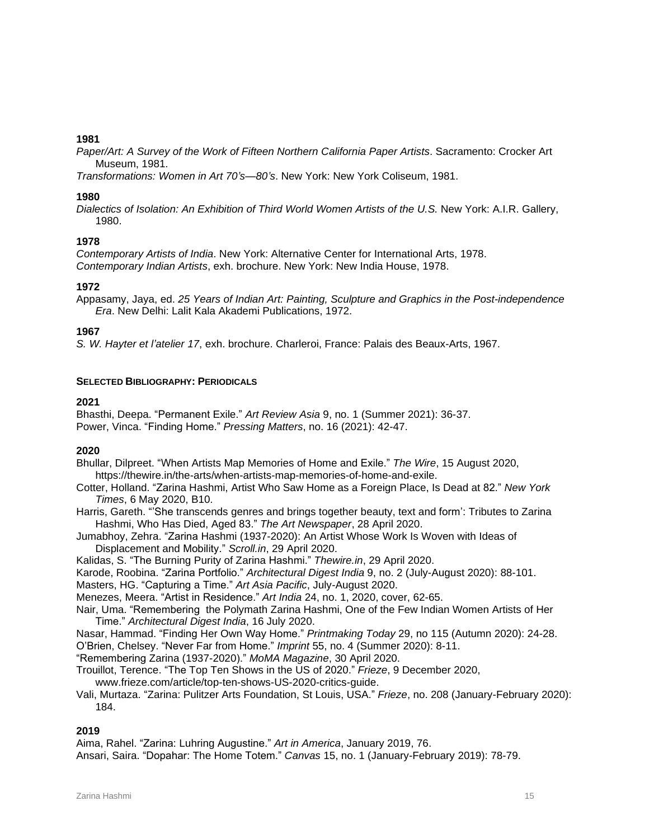*Paper/Art: A Survey of the Work of Fifteen Northern California Paper Artists*. Sacramento: Crocker Art Museum, 1981.

*Transformations: Women in Art 70's—80's*. New York: New York Coliseum, 1981.

### **1980**

*Dialectics of Isolation: An Exhibition of Third World Women Artists of the U.S.* New York: A.I.R. Gallery, 1980.

# **1978**

*Contemporary Artists of India*. New York: Alternative Center for International Arts, 1978. *Contemporary Indian Artists*, exh. brochure. New York: New India House, 1978.

# **1972**

Appasamy, Jaya, ed. *25 Years of Indian Art: Painting, Sculpture and Graphics in the Post-independence Era*. New Delhi: Lalit Kala Akademi Publications, 1972.

# **1967**

*S. W. Hayter et l'atelier 17*, exh. brochure. Charleroi, France: Palais des Beaux-Arts, 1967.

### **SELECTED BIBLIOGRAPHY: PERIODICALS**

# **2021**

Bhasthi, Deepa. "Permanent Exile." *Art Review Asia* 9, no. 1 (Summer 2021): 36-37. Power, Vinca. "Finding Home." *Pressing Matters*, no. 16 (2021): 42-47.

### **2020**

Bhullar, Dilpreet. "When Artists Map Memories of Home and Exile." *The Wire*, 15 August 2020, [https://thewire.in/the-arts/when-artists-map-memories-of-home-and-exile.](https://thewire.in/the-arts/when-artists-map-memories-of-home-and-exile)

Cotter, Holland. "Zarina Hashmi, Artist Who Saw Home as a Foreign Place, Is Dead at 82." *New York Times*, 6 May 2020, B10.

Harris, Gareth. "'She transcends genres and brings together beauty, text and form': Tributes to Zarina Hashmi, Who Has Died, Aged 83." *The Art Newspaper*, 28 April 2020.

Jumabhoy, Zehra. "Zarina Hashmi (1937-2020): An Artist Whose Work Is Woven with Ideas of Displacement and Mobility." *Scroll.in*, 29 April 2020.

Kalidas, S. "The Burning Purity of Zarina Hashmi." *Thewire.in*, 29 April 2020.

Karode, Roobina. "Zarina Portfolio." *Architectural Digest India* 9, no. 2 (July-August 2020): 88-101.

Masters, HG. "Capturing a Time." *Art Asia Pacific*, July-August 2020.

Menezes, Meera. "Artist in Residence." *Art India* 24, no. 1, 2020, cover, 62-65.

Nair, Uma. "Remembering the Polymath Zarina Hashmi, One of the Few Indian Women Artists of Her Time." *Architectural Digest India*, 16 July 2020.

Nasar, Hammad. "Finding Her Own Way Home." *Printmaking Today* 29, no 115 (Autumn 2020): 24-28. O'Brien, Chelsey. "Never Far from Home." *Imprint* 55, no. 4 (Summer 2020): 8-11.

"Remembering Zarina (1937-2020)." *MoMA Magazine*, 30 April 2020.

Trouillot, Terence. "The Top Ten Shows in the US of 2020." *Frieze*, 9 December 2020,

www.frieze.com/article/top-ten-shows-US-2020-critics-guide.

Vali, Murtaza. "Zarina: Pulitzer Arts Foundation, St Louis, USA." *Frieze*, no. 208 (January-February 2020): 184.

# **2019**

Aima, Rahel. "Zarina: Luhring Augustine." *Art in America*, January 2019, 76.

Ansari, Saira. "Dopahar: The Home Totem." *Canvas* 15, no. 1 (January-February 2019): 78-79.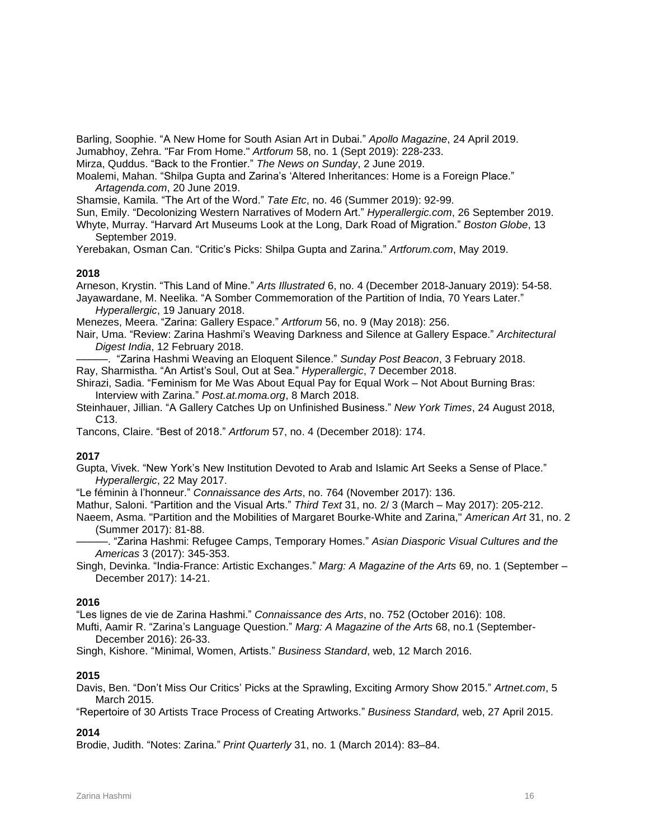Barling, Soophie. "A New Home for South Asian Art in Dubai." *Apollo Magazine*, 24 April 2019.

Jumabhoy, Zehra. "Far From Home." *Artforum* 58, no. 1 (Sept 2019): 228-233.

Mirza, Quddus. "Back to the Frontier." *The News on Sunday*, 2 June 2019.

Moalemi, Mahan. "Shilpa Gupta and Zarina's 'Altered Inheritances: Home is a Foreign Place." *Artagenda.com*, 20 June 2019.

Shamsie, Kamila. "The Art of the Word." *Tate Etc*, no. 46 (Summer 2019): 92-99.

Sun, Emily. "Decolonizing Western Narratives of Modern Art." *Hyperallergic.com*, 26 September 2019.

Whyte, Murray. "Harvard Art Museums Look at the Long, Dark Road of Migration." *Boston Globe*, 13 September 2019.

Yerebakan, Osman Can. "Critic's Picks: Shilpa Gupta and Zarina." *Artforum.com*, May 2019.

# **2018**

Arneson, Krystin. "This Land of Mine." *Arts Illustrated* 6, no. 4 (December 2018-January 2019): 54-58. Jayawardane, M. Neelika. "A Somber Commemoration of the Partition of India, 70 Years Later."

*Hyperallergic*, 19 January 2018.

Menezes, Meera. "Zarina: Gallery Espace." *Artforum* 56, no. 9 (May 2018): 256.

Nair, Uma. "Review: Zarina Hashmi's Weaving Darkness and Silence at Gallery Espace." *Architectural Digest India*, 12 February 2018.

———. "Zarina Hashmi Weaving an Eloquent Silence." *Sunday Post Beacon*, 3 February 2018.

Ray, Sharmistha. "An Artist's Soul, Out at Sea." *Hyperallergic*, 7 December 2018.

Shirazi, Sadia. "Feminism for Me Was About Equal Pay for Equal Work – Not About Burning Bras: Interview with Zarina." *Post.at.moma.org*, 8 March 2018.

Steinhauer, Jillian. "A Gallery Catches Up on Unfinished Business." *New York Times*, 24 August 2018, C13.

Tancons, Claire. "Best of 2018." *Artforum* 57, no. 4 (December 2018): 174.

# **2017**

Gupta, Vivek. "New York's New Institution Devoted to Arab and Islamic Art Seeks a Sense of Place." *Hyperallergic*, 22 May 2017.

"Le féminin à l'honneur." *Connaissance des Arts*, no. 764 (November 2017): 136.

Mathur, Saloni. "Partition and the Visual Arts." *Third Text* 31, no. 2/ 3 (March – May 2017): 205-212.

Naeem, Asma. "Partition and the Mobilities of Margaret Bourke-White and Zarina," *American Art* 31, no. 2 (Summer 2017): 81-88.

———. "Zarina Hashmi: Refugee Camps, Temporary Homes." *Asian Diasporic Visual Cultures and the Americas* 3 (2017): 345-353.

Singh, Devinka. "India-France: Artistic Exchanges." *Marg: A Magazine of the Arts* 69, no. 1 (September – December 2017): 14-21.

# **2016**

"Les lignes de vie de Zarina Hashmi." *Connaissance des Arts*, no. 752 (October 2016): 108.

Mufti, Aamir R. "Zarina's Language Question." *Marg: A Magazine of the Arts* 68, no.1 (September-December 2016): 26-33.

Singh, Kishore. "Minimal, Women, Artists." *Business Standard*, web, 12 March 2016.

# **2015**

Davis, Ben. "Don't Miss Our Critics' Picks at the Sprawling, Exciting Armory Show 2015." *Artnet.com*, 5 March 2015.

"Repertoire of 30 Artists Trace Process of Creating Artworks." *Business Standard,* web, 27 April 2015.

# **2014**

Brodie, Judith. "Notes: Zarina." *Print Quarterly* 31, no. 1 (March 2014): 83–84.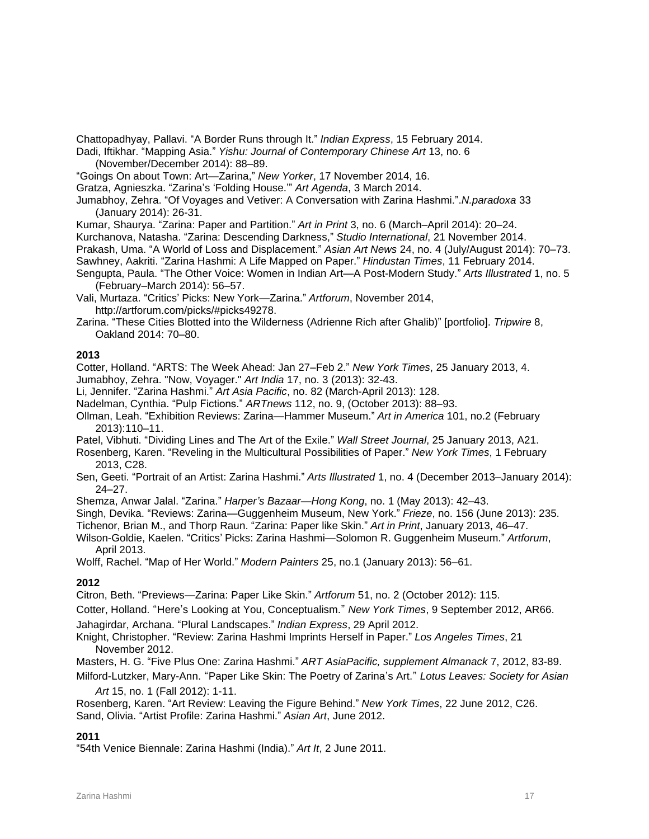Chattopadhyay, Pallavi. "A Border Runs through It." *Indian Express*, 15 February 2014.

Dadi, Iftikhar. "Mapping Asia." *Yishu: Journal of Contemporary Chinese Art* 13, no. 6 (November/December 2014): 88–89.

"Goings On about Town: Art—Zarina," *New Yorker*, 17 November 2014, 16.

Gratza, Agnieszka. "Zarina's 'Folding House.'" *Art Agenda*, 3 March 2014.

Jumabhoy, Zehra. "Of Voyages and Vetiver: A Conversation with Zarina Hashmi.".*N.paradoxa* 33 (January 2014): 26-31.

Kumar, Shaurya. "Zarina: Paper and Partition." *Art in Print* 3, no. 6 (March–April 2014): 20–24.

Kurchanova, Natasha. "Zarina: Descending Darkness," *Studio International*, 21 November 2014.

Prakash, Uma. "A World of Loss and Displacement." *Asian Art News* 24, no. 4 (July/August 2014): 70–73.

Sawhney, Aakriti. "Zarina Hashmi: A Life Mapped on Paper." *Hindustan Times*, 11 February 2014.

Sengupta, Paula. "The Other Voice: Women in Indian Art—A Post-Modern Study." *Arts Illustrated* 1, no. 5 (February–March 2014): 56–57.

Vali, Murtaza. "Critics' Picks: New York—Zarina." *Artforum*, November 2014, http://artforum.com/picks/#picks49278.

Zarina. "These Cities Blotted into the Wilderness (Adrienne Rich after Ghalib)" [portfolio]. *Tripwire* 8, Oakland 2014: 70–80.

# **2013**

Cotter, Holland. "ARTS: The Week Ahead: Jan 27–Feb 2." *New York Times*, 25 January 2013, 4.

Jumabhoy, Zehra. "Now, Voyager." *Art India* 17, no. 3 (2013): 32-43.

Li, Jennifer. "Zarina Hashmi." *Art Asia Pacific*, no. 82 (March-April 2013): 128.

Nadelman, Cynthia. "Pulp Fictions." *ARTnews* 112, no. 9, (October 2013): 88–93.

Ollman, Leah. "Exhibition Reviews: Zarina—Hammer Museum." *Art in America* 101, no.2 (February 2013):110–11.

Patel, Vibhuti. "Dividing Lines and The Art of the Exile." *Wall Street Journal*, 25 January 2013, A21.

Rosenberg, Karen. "Reveling in the Multicultural Possibilities of Paper." *New York Times*, 1 February 2013, C28.

Sen, Geeti. "Portrait of an Artist: Zarina Hashmi." *Arts Illustrated* 1, no. 4 (December 2013–January 2014): 24–27.

Shemza, Anwar Jalal. "Zarina." *Harper's Bazaar—Hong Kong*, no. 1 (May 2013): 42–43.

Singh, Devika. "Reviews: Zarina—Guggenheim Museum, New York." *Frieze*, no. 156 (June 2013): 235.

Tichenor, Brian M., and Thorp Raun. "Zarina: Paper like Skin." *Art in Print*, January 2013, 46–47.

Wilson-Goldie, Kaelen. "Critics' Picks: Zarina Hashmi—Solomon R. Guggenheim Museum." *Artforum*, April 2013.

Wolff, Rachel. "Map of Her World." *Modern Painters* 25, no.1 (January 2013): 56–61.

# **2012**

Citron, Beth. "Previews—Zarina: Paper Like Skin." *Artforum* 51, no. 2 (October 2012): 115.

Cotter, Holland. "Here's Looking at You, Conceptualism." *New York Times*, 9 September 2012, AR66.

Jahagirdar, Archana. "Plural Landscapes." *Indian Express*, 29 April 2012.

Knight, Christopher. "Review: Zarina Hashmi Imprints Herself in Paper." *Los Angeles Times*, 21 November 2012.

Masters, H. G. "Five Plus One: Zarina Hashmi." *ART AsiaPacific, supplement Almanack* 7, 2012, 83-89.

Milford-Lutzker, Mary-Ann. "Paper Like Skin: The Poetry of Zarina's Art." *Lotus Leaves: Society for Asian Art* 15, no. 1 (Fall 2012): 1-11.

Rosenberg, Karen. "Art Review: Leaving the Figure Behind." *New York Times*, 22 June 2012, C26. Sand, Olivia. "Artist Profile: Zarina Hashmi." *Asian Art*, June 2012.

# **2011**

"54th Venice Biennale: Zarina Hashmi (India)." *Art It*, 2 June 2011.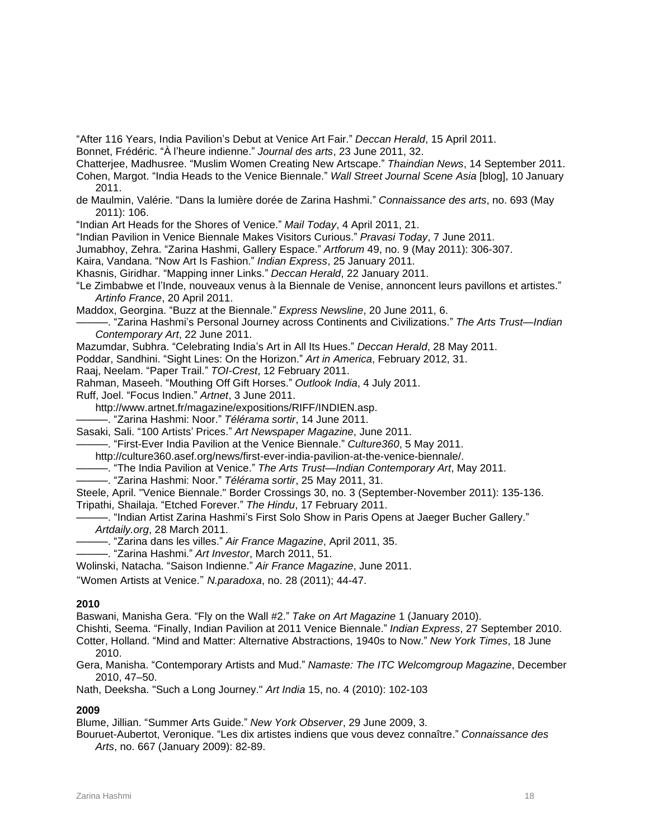"After 116 Years, India Pavilion's Debut at Venice Art Fair." *Deccan Herald*, 15 April 2011.

Bonnet, Frédéric. "À l'heure indienne." *Journal des arts*, 23 June 2011, 32.

Chatterjee, Madhusree. "Muslim Women Creating New Artscape." *Thaindian News*, 14 September 2011.

Cohen, Margot. "India Heads to the Venice Biennale." *Wall Street Journal Scene Asia* [blog], 10 January 2011.

de Maulmin, Valérie. "Dans la lumière dorée de Zarina Hashmi." *Connaissance des arts*, no. 693 (May 2011): 106.

"Indian Art Heads for the Shores of Venice." *Mail Today*, 4 April 2011, 21.

"Indian Pavilion in Venice Biennale Makes Visitors Curious." *Pravasi Today*, 7 June 2011.

Jumabhoy, Zehra. "Zarina Hashmi, Gallery Espace." *Artforum* 49, no. 9 (May 2011): 306-307.

Kaira, Vandana. "Now Art Is Fashion." *Indian Express*, 25 January 2011.

Khasnis, Giridhar. "Mapping inner Links." *Deccan Herald*, 22 January 2011.

"Le Zimbabwe et l'Inde, nouveaux venus à la Biennale de Venise, annoncent leurs pavillons et artistes." *Artinfo France*, 20 April 2011.

Maddox, Georgina. "Buzz at the Biennale." *Express Newsline*, 20 June 2011, 6.

———. "Zarina Hashmi's Personal Journey across Continents and Civilizations." *The Arts Trust—Indian Contemporary Art*, 22 June 2011.

Mazumdar, Subhra. "Celebrating India's Art in All Its Hues." *Deccan Herald*, 28 May 2011.

Poddar, Sandhini. "Sight Lines: On the Horizon." *Art in America*, February 2012, 31.

Raaj, Neelam. "Paper Trail." *TOI-Crest*, 12 February 2011.

Rahman, Maseeh. "Mouthing Off Gift Horses." *Outlook India*, 4 July 2011.

Ruff, Joel. "Focus Indien." *Artnet*, 3 June 2011.

http://www.artnet.fr/magazine/expositions/RIFF/INDIEN.asp.

———. "Zarina Hashmi: Noor." *Télérama sortir*, 14 June 2011.

Sasaki, Sali. "100 Artists' Prices." *Art Newspaper Magazine*, June 2011.

———. "First-Ever India Pavilion at the Venice Biennale." *Culture360*, 5 May 2011.

http://culture360.asef.org/news/first-ever-india-pavilion-at-the-venice-biennale/.

———. "The India Pavilion at Venice." *The Arts Trust—Indian Contemporary Art*, May 2011.

———. "Zarina Hashmi: Noor." *Télérama sortir*, 25 May 2011, 31.

Steele, April. "Venice Biennale." Border Crossings 30, no. 3 (September-November 2011): 135-136.

Tripathi, Shailaja. "Etched Forever." *The Hindu*, 17 February 2011.

-. "Indian Artist Zarina Hashmi's First Solo Show in Paris Opens at Jaeger Bucher Gallery." *Artdaily.org*, 28 March 2011.

———. "Zarina dans les villes." *Air France Magazine*, April 2011, 35.

———. "Zarina Hashmi." *Art Investor*, March 2011, 51.

Wolinski, Natacha. "Saison Indienne." *Air France Magazine*, June 2011.

"Women Artists at Venice." *N.paradoxa*, no. 28 (2011); 44-47.

### **2010**

Baswani, Manisha Gera. "Fly on the Wall #2." *Take on Art Magazine* 1 (January 2010).

Chishti, Seema. "Finally, Indian Pavilion at 2011 Venice Biennale." *Indian Express*, 27 September 2010.

Cotter, Holland. "Mind and Matter: Alternative Abstractions, 1940s to Now." *New York Times*, 18 June 2010.

Gera, Manisha. "Contemporary Artists and Mud." *Namaste: The ITC Welcomgroup Magazine*, December 2010, 47–50.

Nath, Deeksha. "Such a Long Journey." *Art India* 15, no. 4 (2010): 102-103

### **2009**

Blume, Jillian. "Summer Arts Guide." *New York Observer*, 29 June 2009, 3.

Bouruet-Aubertot, Veronique. "Les dix artistes indiens que vous devez connaître." *Connaissance des Arts*, no. 667 (January 2009): 82-89.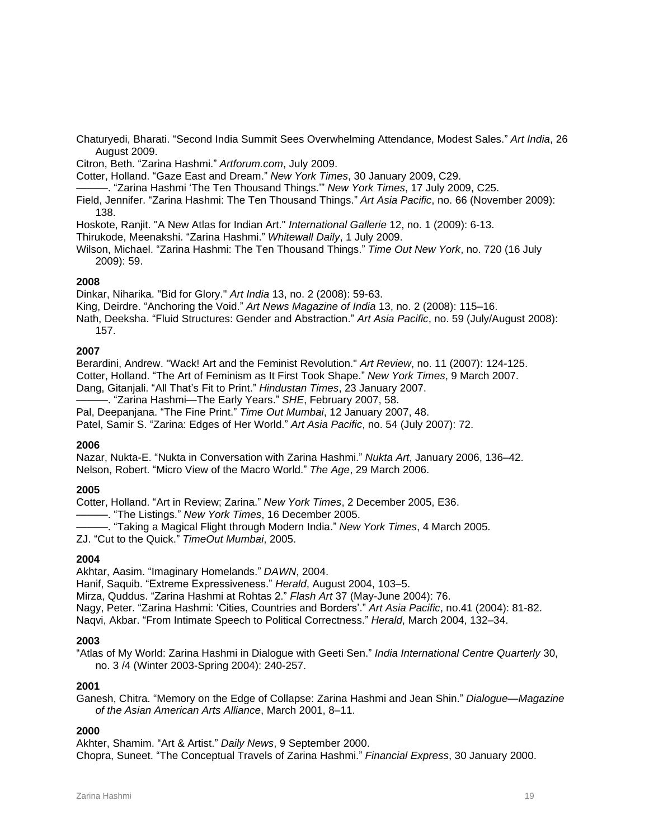Chaturyedi, Bharati. "Second India Summit Sees Overwhelming Attendance, Modest Sales." *Art India*, 26 August 2009.

Citron, Beth. "Zarina Hashmi." *Artforum.com*, July 2009.

Cotter, Holland. "Gaze East and Dream." *New York Times*, 30 January 2009, C29.

———. "Zarina Hashmi 'The Ten Thousand Things.'" *New York Times*, 17 July 2009, C25.

Field, Jennifer. "Zarina Hashmi: The Ten Thousand Things." *Art Asia Pacific*, no. 66 (November 2009): 138.

Hoskote, Ranjit. "A New Atlas for Indian Art." *International Gallerie* 12, no. 1 (2009): 6-13.

Thirukode, Meenakshi. "Zarina Hashmi." *Whitewall Daily*, 1 July 2009.

Wilson, Michael. "Zarina Hashmi: The Ten Thousand Things." *Time Out New York*, no. 720 (16 July 2009): 59.

### **2008**

Dinkar, Niharika. "Bid for Glory." *Art India* 13, no. 2 (2008): 59-63.

King, Deirdre. "Anchoring the Void." *Art News Magazine of India* 13, no. 2 (2008): 115–16.

Nath, Deeksha. "Fluid Structures: Gender and Abstraction." *Art Asia Pacific*, no. 59 (July/August 2008): 157.

# **2007**

Berardini, Andrew. "Wack! Art and the Feminist Revolution." *Art Review*, no. 11 (2007): 124-125. Cotter, Holland. "The Art of Feminism as It First Took Shape." *New York Times*, 9 March 2007. Dang, Gitanjali. "All That's Fit to Print." *Hindustan Times*, 23 January 2007.

———. "Zarina Hashmi—The Early Years." *SHE*, February 2007, 58.

Pal, Deepanjana. "The Fine Print." *Time Out Mumbai*, 12 January 2007, 48.

Patel, Samir S. "Zarina: Edges of Her World." *Art Asia Pacific*, no. 54 (July 2007): 72.

#### **2006**

Nazar, Nukta-E. "Nukta in Conversation with Zarina Hashmi." *Nukta Art*, January 2006, 136–42. Nelson, Robert. "Micro View of the Macro World." *The Age*, 29 March 2006.

### **2005**

Cotter, Holland. "Art in Review; Zarina." *New York Times*, 2 December 2005, E36.

———. "The Listings." *New York Times*, 16 December 2005.

———. "Taking a Magical Flight through Modern India." *New York Times*, 4 March 2005.

ZJ. "Cut to the Quick." *TimeOut Mumbai*, 2005.

### **2004**

Akhtar, Aasim. "Imaginary Homelands." *DAWN*, 2004.

Hanif, Saquib. "Extreme Expressiveness." *Herald*, August 2004, 103–5.

Mirza, Quddus. "Zarina Hashmi at Rohtas 2." *Flash Art* 37 (May-June 2004): 76.

Nagy, Peter. "Zarina Hashmi: 'Cities, Countries and Borders'." *Art Asia Pacific*, no.41 (2004): 81-82.

Naqvi, Akbar. "From Intimate Speech to Political Correctness." *Herald*, March 2004, 132–34.

### **2003**

"Atlas of My World: Zarina Hashmi in Dialogue with Geeti Sen." *India International Centre Quarterly* 30, no. 3 /4 (Winter 2003-Spring 2004): 240-257.

### **2001**

Ganesh, Chitra. "Memory on the Edge of Collapse: Zarina Hashmi and Jean Shin." *Dialogue—Magazine of the Asian American Arts Alliance*, March 2001, 8–11.

### **2000**

Akhter, Shamim. "Art & Artist." *Daily News*, 9 September 2000. Chopra, Suneet. "The Conceptual Travels of Zarina Hashmi." *Financial Express*, 30 January 2000.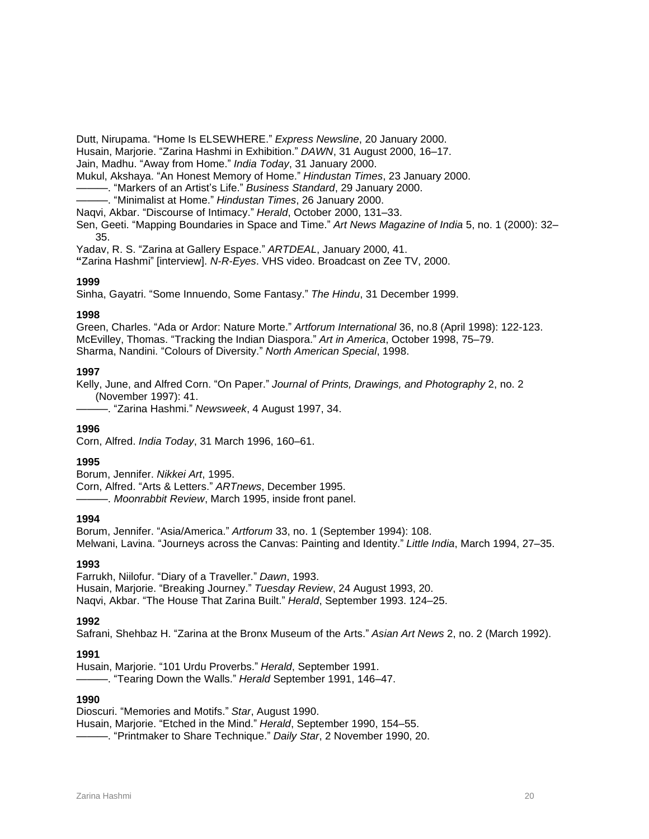Dutt, Nirupama. "Home Is ELSEWHERE." *Express Newsline*, 20 January 2000.

Husain, Marjorie. "Zarina Hashmi in Exhibition." *DAWN*, 31 August 2000, 16–17.

Jain, Madhu. "Away from Home." *India Today*, 31 January 2000.

Mukul, Akshaya. "An Honest Memory of Home." *Hindustan Times*, 23 January 2000.

———. "Markers of an Artist's Life." *Business Standard*, 29 January 2000.

———. "Minimalist at Home." *Hindustan Times*, 26 January 2000.

Naqvi, Akbar. "Discourse of Intimacy." *Herald*, October 2000, 131–33.

Sen, Geeti. "Mapping Boundaries in Space and Time." *Art News Magazine of India* 5, no. 1 (2000): 32– 35.

Yadav, R. S. "Zarina at Gallery Espace." *ARTDEAL*, January 2000, 41.

**"**Zarina Hashmi" [interview]. *N-R-Eyes*. VHS video. Broadcast on Zee TV, 2000.

### **1999**

Sinha, Gayatri. "Some Innuendo, Some Fantasy." *The Hindu*, 31 December 1999.

### **1998**

Green, Charles. "Ada or Ardor: Nature Morte." *Artforum International* 36, no.8 (April 1998): 122-123. McEvilley, Thomas. "Tracking the Indian Diaspora." *Art in America*, October 1998, 75–79. Sharma, Nandini. "Colours of Diversity." *North American Special*, 1998.

### **1997**

Kelly, June, and Alfred Corn. "On Paper." *Journal of Prints, Drawings, and Photography* 2, no. 2 (November 1997): 41.

———. "Zarina Hashmi." *Newsweek*, 4 August 1997, 34.

### **1996**

Corn, Alfred. *India Today*, 31 March 1996, 160–61.

### **1995**

Borum, Jennifer. *Nikkei Art*, 1995. Corn, Alfred. "Arts & Letters." *ARTnews*, December 1995. ———. *Moonrabbit Review*, March 1995, inside front panel.

# **1994**

Borum, Jennifer. "Asia/America." *Artforum* 33, no. 1 (September 1994): 108. Melwani, Lavina. "Journeys across the Canvas: Painting and Identity." *Little India*, March 1994, 27–35.

### **1993**

Farrukh, Niilofur. "Diary of a Traveller." *Dawn*, 1993. Husain, Marjorie. "Breaking Journey." *Tuesday Review*, 24 August 1993, 20. Naqvi, Akbar. "The House That Zarina Built." *Herald*, September 1993. 124–25.

### **1992**

Safrani, Shehbaz H. "Zarina at the Bronx Museum of the Arts." *Asian Art News* 2, no. 2 (March 1992).

### **1991**

Husain, Marjorie. "101 Urdu Proverbs." *Herald*, September 1991.

———. "Tearing Down the Walls." *Herald* September 1991, 146–47.

### **1990**

Dioscuri. "Memories and Motifs." *Star*, August 1990.

Husain, Marjorie. "Etched in the Mind." *Herald*, September 1990, 154–55.

———. "Printmaker to Share Technique." *Daily Star*, 2 November 1990, 20.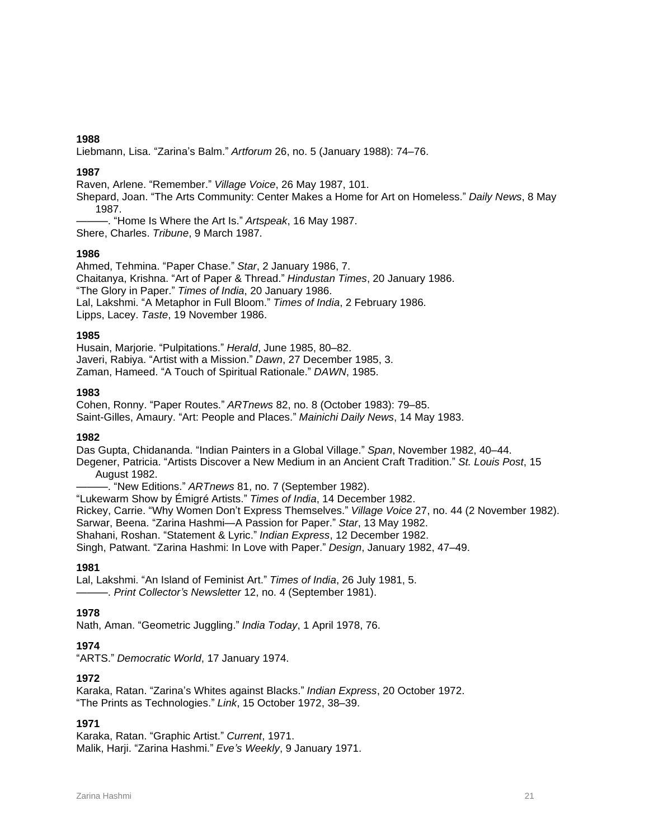Liebmann, Lisa. "Zarina's Balm." *Artforum* 26, no. 5 (January 1988): 74–76.

# **1987**

Raven, Arlene. "Remember." *Village Voice*, 26 May 1987, 101.

Shepard, Joan. "The Arts Community: Center Makes a Home for Art on Homeless." *Daily News*, 8 May 1987.

-. "Home Is Where the Art Is." Artspeak, 16 May 1987. Shere, Charles. *Tribune*, 9 March 1987.

# **1986**

Ahmed, Tehmina. "Paper Chase." *Star*, 2 January 1986, 7. Chaitanya, Krishna. "Art of Paper & Thread." *Hindustan Times*, 20 January 1986. "The Glory in Paper." *Times of India*, 20 January 1986. Lal, Lakshmi. "A Metaphor in Full Bloom." *Times of India*, 2 February 1986. Lipps, Lacey. *Taste*, 19 November 1986.

# **1985**

Husain, Marjorie. "Pulpitations." *Herald*, June 1985, 80–82. Javeri, Rabiya. "Artist with a Mission." *Dawn*, 27 December 1985, 3. Zaman, Hameed. "A Touch of Spiritual Rationale." *DAWN*, 1985.

# **1983**

Cohen, Ronny. "Paper Routes." *ARTnews* 82, no. 8 (October 1983): 79–85. Saint-Gilles, Amaury. "Art: People and Places." *Mainichi Daily News*, 14 May 1983.

### **1982**

Das Gupta, Chidananda. "Indian Painters in a Global Village." *Span*, November 1982, 40–44.

Degener, Patricia. "Artists Discover a New Medium in an Ancient Craft Tradition." *St. Louis Post*, 15 August 1982.

———. "New Editions." *ARTnews* 81, no. 7 (September 1982).

"Lukewarm Show by Émigré Artists." *Times of India*, 14 December 1982. Rickey, Carrie. "Why Women Don't Express Themselves." *Village Voice* 27, no. 44 (2 November 1982). Sarwar, Beena. "Zarina Hashmi—A Passion for Paper." *Star*, 13 May 1982. Shahani, Roshan. "Statement & Lyric." *Indian Express*, 12 December 1982.

Singh, Patwant. "Zarina Hashmi: In Love with Paper." *Design*, January 1982, 47–49.

# **1981**

Lal, Lakshmi. "An Island of Feminist Art." *Times of India*, 26 July 1981, 5. ———. *Print Collector's Newsletter* 12, no. 4 (September 1981).

# **1978**

Nath, Aman. "Geometric Juggling." *India Today*, 1 April 1978, 76.

# **1974**

"ARTS." *Democratic World*, 17 January 1974.

# **1972**

Karaka, Ratan. "Zarina's Whites against Blacks." *Indian Express*, 20 October 1972. "The Prints as Technologies." *Link*, 15 October 1972, 38–39.

# **1971**

Karaka, Ratan. "Graphic Artist." *Current*, 1971. Malik, Harji. "Zarina Hashmi." *Eve's Weekly*, 9 January 1971.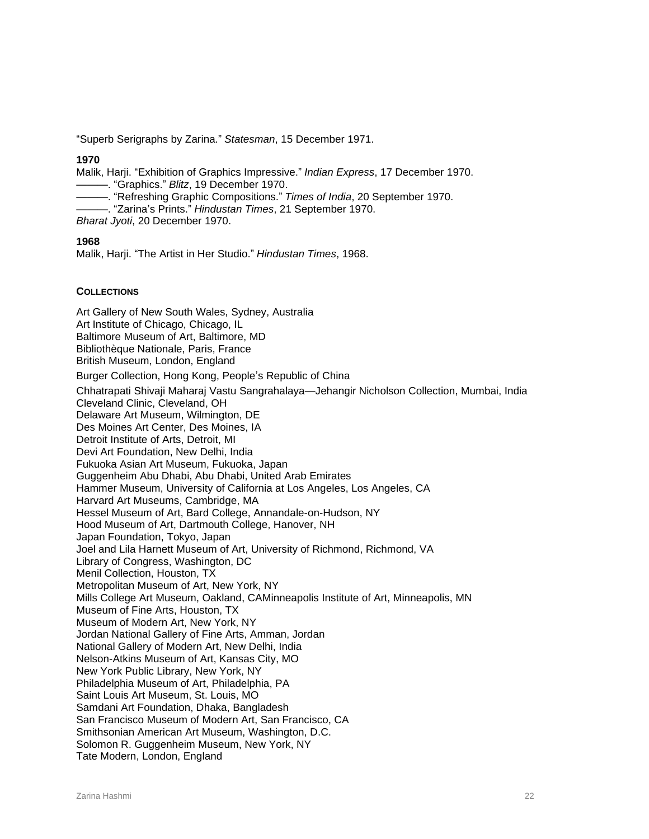"Superb Serigraphs by Zarina." *Statesman*, 15 December 1971.

### **1970**

Malik, Harji. "Exhibition of Graphics Impressive." *Indian Express*, 17 December 1970. ———. "Graphics." *Blitz*, 19 December 1970.

———. "Refreshing Graphic Compositions." *Times of India*, 20 September 1970.

———. "Zarina's Prints." *Hindustan Times*, 21 September 1970.

*Bharat Jyoti*, 20 December 1970.

### **1968**

Malik, Harji. "The Artist in Her Studio." *Hindustan Times*, 1968.

### **COLLECTIONS**

Art Gallery of New South Wales, Sydney, Australia Art Institute of Chicago, Chicago, IL Baltimore Museum of Art, Baltimore, MD Bibliothèque Nationale, Paris, France British Museum, London, England Burger Collection, Hong Kong, People's Republic of China Chhatrapati Shivaji Maharaj Vastu Sangrahalaya—Jehangir Nicholson Collection, Mumbai, India Cleveland Clinic, Cleveland, OH Delaware Art Museum, Wilmington, DE Des Moines Art Center, Des Moines, IA Detroit Institute of Arts, Detroit, MI Devi Art Foundation, New Delhi, India Fukuoka Asian Art Museum, Fukuoka, Japan Guggenheim Abu Dhabi, Abu Dhabi, United Arab Emirates Hammer Museum, University of California at Los Angeles, Los Angeles, CA Harvard Art Museums, Cambridge, MA Hessel Museum of Art, Bard College, Annandale-on-Hudson, NY Hood Museum of Art, Dartmouth College, Hanover, NH Japan Foundation, Tokyo, Japan Joel and Lila Harnett Museum of Art, University of Richmond, Richmond, VA Library of Congress, Washington, DC Menil Collection, Houston, TX Metropolitan Museum of Art, New York, NY Mills College Art Museum, Oakland, CAMinneapolis Institute of Art, Minneapolis, MN Museum of Fine Arts, Houston, TX Museum of Modern Art, New York, NY Jordan National Gallery of Fine Arts, Amman, Jordan National Gallery of Modern Art, New Delhi, India Nelson-Atkins Museum of Art, Kansas City, MO New York Public Library, New York, NY Philadelphia Museum of Art, Philadelphia, PA Saint Louis Art Museum, St. Louis, MO Samdani Art Foundation, Dhaka, Bangladesh San Francisco Museum of Modern Art, San Francisco, CA Smithsonian American Art Museum, Washington, D.C. Solomon R. Guggenheim Museum, New York, NY Tate Modern, London, England